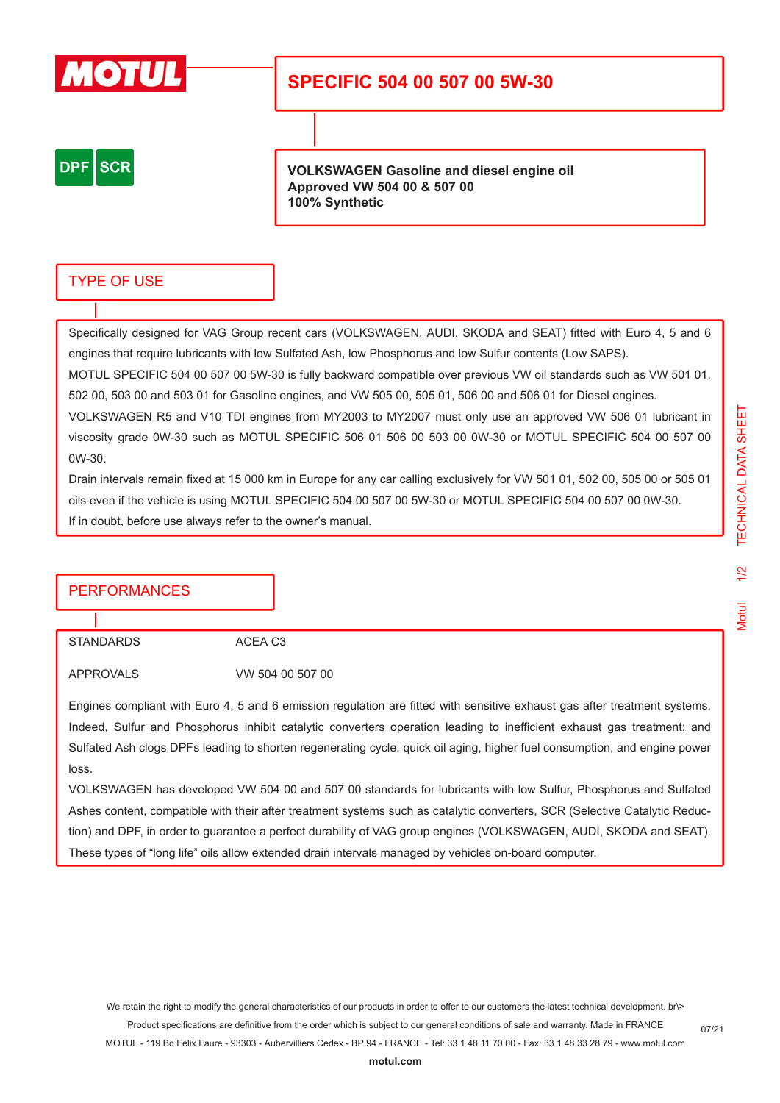

## **SPECIFIC 504 00 507 00 5W-30**

**DPF SCR** 

**VOLKSWAGEN Gasoline and diesel engine oil Approved VW 504 00 & 507 00 100% Synthetic**

### TYPE OF USE

Specifically designed for VAG Group recent cars (VOLKSWAGEN, AUDI, SKODA and SEAT) fitted with Euro 4, 5 and 6 engines that require lubricants with low Sulfated Ash, low Phosphorus and low Sulfur contents (Low SAPS).

MOTUL SPECIFIC 504 00 507 00 5W-30 is fully backward compatible over previous VW oil standards such as VW 501 01, 502 00, 503 00 and 503 01 for Gasoline engines, and VW 505 00, 505 01, 506 00 and 506 01 for Diesel engines.

VOLKSWAGEN R5 and V10 TDI engines from MY2003 to MY2007 must only use an approved VW 506 01 lubricant in viscosity grade 0W-30 such as MOTUL SPECIFIC 506 01 506 00 503 00 0W-30 or MOTUL SPECIFIC 504 00 507 00 0W-30.

Drain intervals remain fixed at 15 000 km in Europe for any car calling exclusively for VW 501 01, 502 00, 505 00 or 505 01 oils even if the vehicle is using MOTUL SPECIFIC 504 00 507 00 5W-30 or MOTUL SPECIFIC 504 00 507 00 0W-30. If in doubt, before use always refer to the owner's manual.

### **PERFORMANCES**

STANDARDS ACEA C3

APPROVALS VW 504 00 507 00

Engines compliant with Euro 4, 5 and 6 emission regulation are fitted with sensitive exhaust gas after treatment systems. Indeed, Sulfur and Phosphorus inhibit catalytic converters operation leading to inefficient exhaust gas treatment; and Sulfated Ash clogs DPFs leading to shorten regenerating cycle, quick oil aging, higher fuel consumption, and engine power loss.

VOLKSWAGEN has developed VW 504 00 and 507 00 standards for lubricants with low Sulfur, Phosphorus and Sulfated Ashes content, compatible with their after treatment systems such as catalytic converters, SCR (Selective Catalytic Reduction) and DPF, in order to guarantee a perfect durability of VAG group engines (VOLKSWAGEN, AUDI, SKODA and SEAT). These types of "long life" oils allow extended drain intervals managed by vehicles on-board computer.